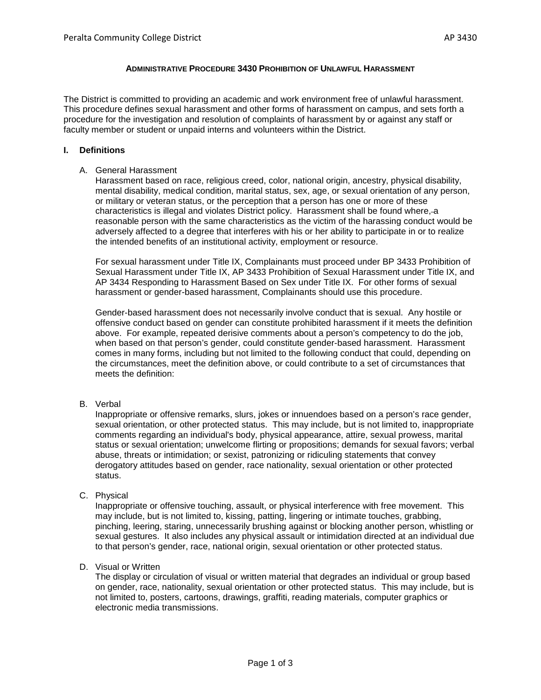# **ADMINISTRATIVE PROCEDURE 3430 PROHIBITION OF UNLAWFUL HARASSMENT**

The District is committed to providing an academic and work environment free of unlawful harassment. This procedure defines sexual harassment and other forms of harassment on campus, and sets forth a procedure for the investigation and resolution of complaints of harassment by or against any staff or faculty member or student or unpaid interns and volunteers within the District.

#### **I. Definitions**

#### A. General Harassment

Harassment based on race, religious creed, color, national origin, ancestry, physical disability, mental disability, medical condition, marital status, sex, age, or sexual orientation of any person, or military or veteran status, or the perception that a person has one or more of these characteristics is illegal and violates District policy. Harassment shall be found where, a reasonable person with the same characteristics as the victim of the harassing conduct would be adversely affected to a degree that interferes with his or her ability to participate in or to realize the intended benefits of an institutional activity, employment or resource.

For sexual harassment under Title IX, Complainants must proceed under BP 3433 Prohibition of Sexual Harassment under Title IX, AP 3433 Prohibition of Sexual Harassment under Title IX, and AP 3434 Responding to Harassment Based on Sex under Title IX. For other forms of sexual harassment or gender-based harassment, Complainants should use this procedure.

Gender-based harassment does not necessarily involve conduct that is sexual. Any hostile or offensive conduct based on gender can constitute prohibited harassment if it meets the definition above. For example, repeated derisive comments about a person's competency to do the job, when based on that person's gender, could constitute gender-based harassment. Harassment comes in many forms, including but not limited to the following conduct that could, depending on the circumstances, meet the definition above, or could contribute to a set of circumstances that meets the definition:

#### B. Verbal

Inappropriate or offensive remarks, slurs, jokes or innuendoes based on a person's race gender, sexual orientation, or other protected status. This may include, but is not limited to, inappropriate comments regarding an individual's body, physical appearance, attire, sexual prowess, marital status or sexual orientation; unwelcome flirting or propositions; demands for sexual favors; verbal abuse, threats or intimidation; or sexist, patronizing or ridiculing statements that convey derogatory attitudes based on gender, race nationality, sexual orientation or other protected status.

C. Physical

Inappropriate or offensive touching, assault, or physical interference with free movement. This may include, but is not limited to, kissing, patting, lingering or intimate touches, grabbing, pinching, leering, staring, unnecessarily brushing against or blocking another person, whistling or sexual gestures. It also includes any physical assault or intimidation directed at an individual due to that person's gender, race, national origin, sexual orientation or other protected status.

D. Visual or Written

The display or circulation of visual or written material that degrades an individual or group based on gender, race, nationality, sexual orientation or other protected status. This may include, but is not limited to, posters, cartoons, drawings, graffiti, reading materials, computer graphics or electronic media transmissions.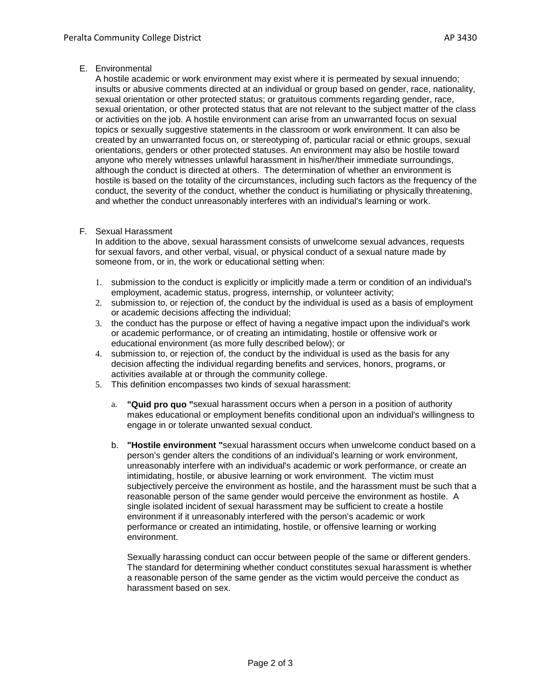### E. Environmental

A hostile academic or work environment may exist where it is permeated by sexual innuendo; insults or abusive comments directed at an individual or group based on gender, race, nationality, sexual orientation or other protected status; or gratuitous comments regarding gender, race, sexual orientation, or other protected status that are not relevant to the subject matter of the class or activities on the job. A hostile environment can arise from an unwarranted focus on sexual topics or sexually suggestive statements in the classroom or work environment. It can also be created by an unwarranted focus on, or stereotyping of, particular racial or ethnic groups, sexual orientations, genders or other protected statuses. An environment may also be hostile toward anyone who merely witnesses unlawful harassment in his/her/their immediate surroundings, although the conduct is directed at others. The determination of whether an environment is hostile is based on the totality of the circumstances, including such factors as the frequency of the conduct, the severity of the conduct, whether the conduct is humiliating or physically threatening, and whether the conduct unreasonably interferes with an individual's learning or work.

## F. Sexual Harassment

In addition to the above, sexual harassment consists of unwelcome sexual advances, requests for sexual favors, and other verbal, visual, or physical conduct of a sexual nature made by someone from, or in, the work or educational setting when:

- 1. submission to the conduct is explicitly or implicitly made a term or condition of an individual's employment, academic status, progress, internship, or volunteer activity;
- 2. submission to, or rejection of, the conduct by the individual is used as a basis of employment or academic decisions affecting the individual;
- 3. the conduct has the purpose or effect of having a negative impact upon the individual's work or academic performance, or of creating an intimidating, hostile or offensive work or educational environment (as more fully described below); or
- 4. submission to, or rejection of, the conduct by the individual is used as the basis for any decision affecting the individual regarding benefits and services, honors, programs, or activities available at or through the community college.
- 5. This definition encompasses two kinds of sexual harassment:
	- a. **"Quid pro quo "**sexual harassment occurs when a person in a position of authority makes educational or employment benefits conditional upon an individual's willingness to engage in or tolerate unwanted sexual conduct.
	- b. **"Hostile environment "**sexual harassment occurs when unwelcome conduct based on a person's gender alters the conditions of an individual's learning or work environment, unreasonably interfere with an individual's academic or work performance, or create an intimidating, hostile, or abusive learning or work environment. The victim must subjectively perceive the environment as hostile, and the harassment must be such that a reasonable person of the same gender would perceive the environment as hostile. A single isolated incident of sexual harassment may be sufficient to create a hostile environment if it unreasonably interfered with the person's academic or work performance or created an intimidating, hostile, or offensive learning or working environment.

Sexually harassing conduct can occur between people of the same or different genders. The standard for determining whether conduct constitutes sexual harassment is whether a reasonable person of the same gender as the victim would perceive the conduct as harassment based on sex.